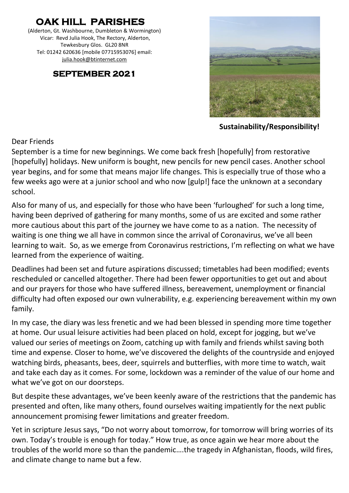# **OAK HILL PARISHES**

(Alderton, Gt. Washbourne, Dumbleton & Wormington) Vicar: Revd Julia Hook, The Rectory, Alderton, Tewkesbury Glos. GL20 8NR Tel: 01242 620636 [mobile 07715953076] email: [julia.hook@btinternet.com](mailto:julia.hook@btinternet.com)

#### **SEPTEMBER 2021**



 **Sustainability/Responsibility!** 

#### Dear Friends

September is a time for new beginnings. We come back fresh [hopefully] from restorative [hopefully] holidays. New uniform is bought, new pencils for new pencil cases. Another school year begins, and for some that means major life changes. This is especially true of those who a few weeks ago were at a junior school and who now [gulp!] face the unknown at a secondary school.

Also for many of us, and especially for those who have been 'furloughed' for such a long time, having been deprived of gathering for many months, some of us are excited and some rather more cautious about this part of the journey we have come to as a nation. The necessity of waiting is one thing we all have in common since the arrival of Coronavirus, we've all been learning to wait. So, as we emerge from Coronavirus restrictions, I'm reflecting on what we have learned from the experience of waiting.

Deadlines had been set and future aspirations discussed; timetables had been modified; events rescheduled or cancelled altogether. There had been fewer opportunities to get out and about and our prayers for those who have suffered illness, bereavement, unemployment or financial difficulty had often exposed our own vulnerability, e.g. experiencing bereavement within my own family.

In my case, the diary was less frenetic and we had been blessed in spending more time together at home. Our usual leisure activities had been placed on hold, except for jogging, but we've valued our series of meetings on Zoom, catching up with family and friends whilst saving both time and expense. Closer to home, we've discovered the delights of the countryside and enjoyed watching birds, pheasants, bees, deer, squirrels and butterflies, with more time to watch, wait and take each day as it comes. For some, lockdown was a reminder of the value of our home and what we've got on our doorsteps.

But despite these advantages, we've been keenly aware of the restrictions that the pandemic has presented and often, like many others, found ourselves waiting impatiently for the next public announcement promising fewer limitations and greater freedom.

Yet in scripture Jesus says, "Do not worry about tomorrow, for tomorrow will bring worries of its own. Today's trouble is enough for today." How true, as once again we hear more about the troubles of the world more so than the pandemic….the tragedy in Afghanistan, floods, wild fires, and climate change to name but a few.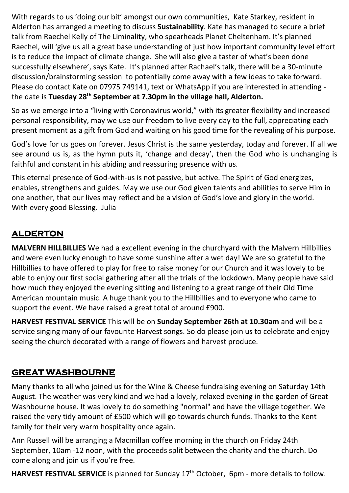With regards to us 'doing our bit' amongst our own communities, Kate Starkey, resident in Alderton has arranged a meeting to discuss **Sustainability**. Kate has managed to secure a brief talk from Raechel Kelly of The Liminality, who spearheads Planet Cheltenham. It's planned Raechel, will 'give us all a great base understanding of just how important community level effort is to reduce the impact of climate change. She will also give a taster of what's been done successfully elsewhere', says Kate. It's planned after Rachael's talk, there will be a 30-minute discussion/brainstorming session to potentially come away with a few ideas to take forward. Please do contact Kate on 07975 749141, text or WhatsApp if you are interested in attending the date is **Tuesday 28th September at 7.30pm in the village hall, Alderton.**

So as we emerge into a "living with Coronavirus world," with its greater flexibility and increased personal responsibility, may we use our freedom to live every day to the full, appreciating each present moment as a gift from God and waiting on his good time for the revealing of his purpose.

God's love for us goes on forever. Jesus Christ is the same yesterday, today and forever. If all we see around us is, as the hymn puts it, 'change and decay', then the God who is unchanging is faithful and constant in his abiding and reassuring presence with us.

This eternal presence of God-with-us is not passive, but active. The Spirit of God energizes, enables, strengthens and guides. May we use our God given talents and abilities to serve Him in one another, that our lives may reflect and be a vision of God's love and glory in the world. With every good Blessing. Julia

# **ALDERTON**

**MALVERN HILLBILLIES** We had a excellent evening in the churchyard with the Malvern Hillbillies and were even lucky enough to have some sunshine after a wet day! We are so grateful to the Hillbillies to have offered to play for free to raise money for our Church and it was lovely to be able to enjoy our first social gathering after all the trials of the lockdown. Many people have said how much they enjoyed the evening sitting and listening to a great range of their Old Time American mountain music. A huge thank you to the Hillbillies and to everyone who came to support the event. We have raised a great total of around £900.

**HARVEST FESTIVAL SERVICE** This will be on **Sunday September 26th at 10.30am** and will be a service singing many of our favourite Harvest songs. So do please join us to celebrate and enjoy seeing the church decorated with a range of flowers and harvest produce.

# **GREAT WASHBOURNE**

Many thanks to all who joined us for the Wine & Cheese fundraising evening on Saturday 14th August. The weather was very kind and we had a lovely, relaxed evening in the garden of Great Washbourne house. It was lovely to do something "normal" and have the village together. We raised the very tidy amount of £500 which will go towards church funds. Thanks to the Kent family for their very warm hospitality once again.

Ann Russell will be arranging a Macmillan coffee morning in the church on Friday 24th September, 10am -12 noon, with the proceeds split between the charity and the church. Do come along and join us if you're free.

**HARVEST FESTIVAL SERVICE** is planned for Sunday 17th October, 6pm - more details to follow.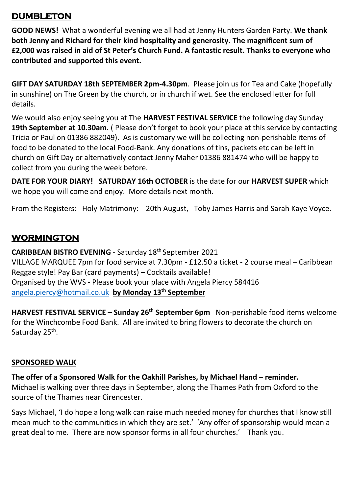#### **DUMBLETON**

**GOOD NEWS!** What a wonderful evening we all had at Jenny Hunters Garden Party. **We thank both Jenny and Richard for their kind hospitality and generosity. The magnificent sum of £2,000 was raised in aid of St Peter's Church Fund. A fantastic result. Thanks to everyone who contributed and supported this event.**

**GIFT DAY SATURDAY 18th SEPTEMBER 2pm-4.30pm**. Please join us for Tea and Cake (hopefully in sunshine) on The Green by the church, or in church if wet. See the enclosed letter for full details.

We would also enjoy seeing you at The **HARVEST FESTIVAL SERVICE** the following day Sunday 19th September at 10.30am. (Please don't forget to book your place at this service by contacting Tricia or Paul on 01386 882049). As is customary we will be collecting non-perishable items of food to be donated to the local Food-Bank. Any donations of tins, packets etc can be left in church on Gift Day or alternatively contact Jenny Maher 01386 881474 who will be happy to collect from you during the week before.

**DATE FOR YOUR DIARY! SATURDAY 16th OCTOBER** is the date for our **HARVEST SUPER** which we hope you will come and enjoy. More details next month.

From the Registers: Holy Matrimony: 20th August, Toby James Harris and Sarah Kaye Voyce.

## **WORMINGTON**

**CARIBBEAN BISTRO EVENING** - Saturday 18th September 2021 VILLAGE MARQUEE 7pm for food service at 7.30pm - £12.50 a ticket - 2 course meal – Caribbean Reggae style! Pay Bar (card payments) – Cocktails available! Organised by the WVS - Please book your place with Angela Piercy 584416 [angela.piercy@hotmail.co.uk](mailto:angela.piercy@hotmail.co.uk) **by Monday 13th September**

**HARVEST FESTIVAL SERVICE – Sunday 26th September 6pm** Non-perishable food items welcome for the Winchcombe Food Bank. All are invited to bring flowers to decorate the church on Saturday 25<sup>th</sup>.

#### **SPONSORED WALK**

**The offer of a Sponsored Walk for the Oakhill Parishes, by Michael Hand – reminder.** Michael is walking over three days in September, along the Thames Path from Oxford to the

source of the Thames near Cirencester.

Says Michael, 'I do hope a long walk can raise much needed money for churches that I know still mean much to the communities in which they are set.' 'Any offer of sponsorship would mean a great deal to me. There are now sponsor forms in all four churches.' Thank you.